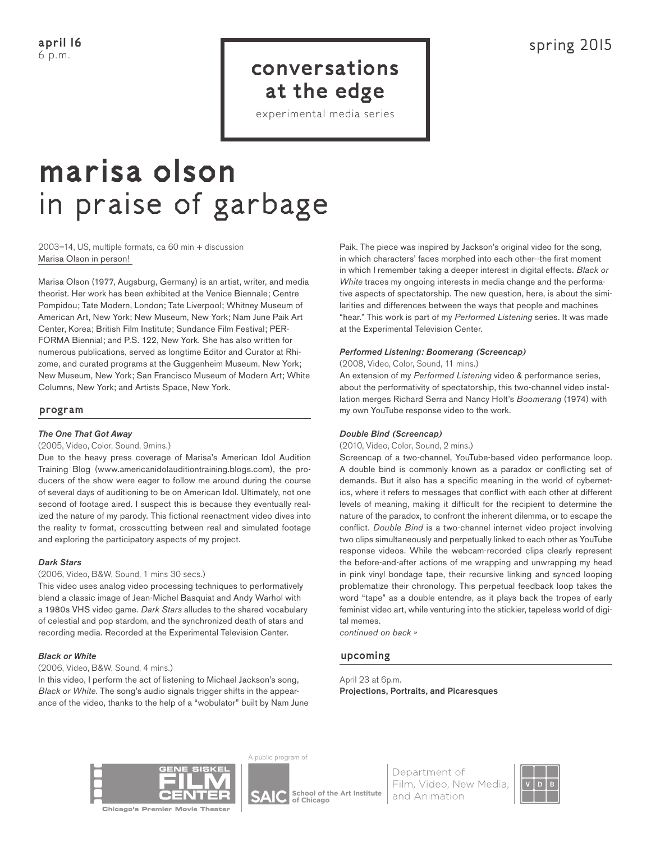# conversations at the edge

experimental media series

# marisa olson in praise of garbage

#### 2003–14, US, multiple formats, ca 60 min + discussion Marisa Olson in person!

Marisa Olson (1977, Augsburg, Germany) is an artist, writer, and media theorist. Her work has been exhibited at the Venice Biennale; Centre Pompidou; Tate Modern, London; Tate Liverpool; Whitney Museum of American Art, New York; New Museum, New York; Nam June Paik Art Center, Korea; British Film Institute; Sundance Film Festival; PER-FORMA Biennial; and P.S. 122, New York. She has also written for numerous publications, served as longtime Editor and Curator at Rhizome, and curated programs at the Guggenheim Museum, New York; New Museum, New York; San Francisco Museum of Modern Art; White Columns, New York; and Artists Space, New York.

# program

# *The One That Got Away*

(2005, Video, Color, Sound, 9mins.)

Due to the heavy press coverage of Marisa's American Idol Audition Training Blog (www.americanidolauditiontraining.blogs.com), the producers of the show were eager to follow me around during the course of several days of auditioning to be on American Idol. Ultimately, not one second of footage aired. I suspect this is because they eventually realized the nature of my parody. This fictional reenactment video dives into the reality tv format, crosscutting between real and simulated footage and exploring the participatory aspects of my project.

#### *Dark Stars*

(2006, Video, B&W, Sound, 1 mins 30 secs.)

This video uses analog video processing techniques to performatively blend a classic image of Jean-Michel Basquiat and Andy Warhol with a 1980s VHS video game. *Dark Stars* alludes to the shared vocabulary of celestial and pop stardom, and the synchronized death of stars and recording media. Recorded at the Experimental Television Center.

# *Black or White*

#### (2006, Video, B&W, Sound, 4 mins.)

In this video, I perform the act of listening to Michael Jackson's song, *Black or White*. The song's audio signals trigger shifts in the appearance of the video, thanks to the help of a "wobulator" built by Nam June

Paik. The piece was inspired by Jackson's original video for the song, in which characters' faces morphed into each other--the first moment in which I remember taking a deeper interest in digital effects. *Black or White* traces my ongoing interests in media change and the performative aspects of spectatorship. The new question, here, is about the similarities and differences between the ways that people and machines "hear." This work is part of my *Performed Listening* series. It was made at the Experimental Television Center.

# *Performed Listening: Boomerang (Screencap)*

(2008, Video, Color, Sound, 11 mins.)

An extension of my *Performed Listening* video & performance series, about the performativity of spectatorship, this two-channel video installation merges Richard Serra and Nancy Holt's *Boomerang* (1974) with my own YouTube response video to the work.

#### *Double Bind (Screencap)*

(2010, Video, Color, Sound, 2 mins.)

Screencap of a two-channel, YouTube-based video performance loop. A double bind is commonly known as a paradox or conflicting set of demands. But it also has a specific meaning in the world of cybernetics, where it refers to messages that conflict with each other at different levels of meaning, making it difficult for the recipient to determine the nature of the paradox, to confront the inherent dilemma, or to escape the conflict. *Double Bind* is a two-channel internet video project involving two clips simultaneously and perpetually linked to each other as YouTube response videos. While the webcam-recorded clips clearly represent the before-and-after actions of me wrapping and unwrapping my head in pink vinyl bondage tape, their recursive linking and synced looping problematize their chronology. This perpetual feedback loop takes the word "tape" as a double entendre, as it plays back the tropes of early feminist video art, while venturing into the stickier, tapeless world of digital memes.

*continued on back »*

# upcoming

April 23 at 6p.m. Projections, Portraits, and Picaresques



A public program of

School of the Art Institute of Chicago

Department of Film, Video, New Media, and Animation